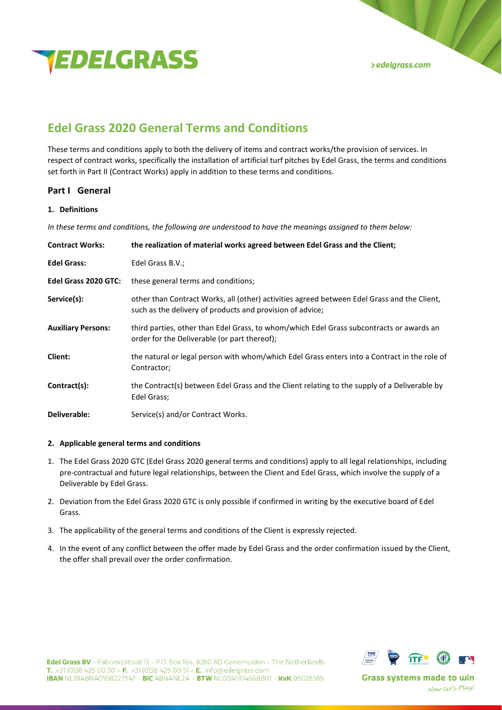

# **Edel Grass 2020 General Terms and Conditions**

These terms and conditions apply to both the delivery of items and contract works/the provision of services. In respect of contract works, specifically the installation of artificial turf pitches by Edel Grass, the terms and conditions set forth in Part II (Contract Works) apply in addition to these terms and conditions.

# **Part I General**

# **1. Definitions**

*In these terms and conditions, the following are understood to have the meanings assigned to them below:*

| <b>Contract Works:</b>    | the realization of material works agreed between Edel Grass and the Client;                                                                              |
|---------------------------|----------------------------------------------------------------------------------------------------------------------------------------------------------|
| <b>Edel Grass:</b>        | Edel Grass B.V.;                                                                                                                                         |
| Edel Grass 2020 GTC:      | these general terms and conditions;                                                                                                                      |
| Service(s):               | other than Contract Works, all (other) activities agreed between Edel Grass and the Client,<br>such as the delivery of products and provision of advice; |
| <b>Auxiliary Persons:</b> | third parties, other than Edel Grass, to whom/which Edel Grass subcontracts or awards an<br>order for the Deliverable (or part thereof);                 |
| <b>Client:</b>            | the natural or legal person with whom/which Edel Grass enters into a Contract in the role of<br>Contractor;                                              |
| Contract(s):              | the Contract(s) between Edel Grass and the Client relating to the supply of a Deliverable by<br>Edel Grass:                                              |
| Deliverable:              | Service(s) and/or Contract Works.                                                                                                                        |

# **2. Applicable general terms and conditions**

- 1. The Edel Grass 2020 GTC (Edel Grass 2020 general terms and conditions) apply to all legal relationships, including pre-contractual and future legal relationships, between the Client and Edel Grass, which involve the supply of a Deliverable by Edel Grass.
- 2. Deviation from the Edel Grass 2020 GTC is only possible if confirmed in writing by the executive board of Edel Grass.
- 3. The applicability of the general terms and conditions of the Client is expressly rejected.
- 4. In the event of any conflict between the offer made by Edel Grass and the order confirmation issued by the Client, the offer shall prevail over the order confirmation.



Edel Grass BV - Fabrieksstraat 13 - P.O. Box 164, 8280 AD Genemuiden - The Netherlands **T.** +31 (0)38 425 00 50 - **F.** +31 (0)38 425 00 51 - **E.** info@edelgrass.com **IBAN NL78ABNA0598227547 - BIC ABNANL2A - BTW NL004004668B01 - KvK 05028385**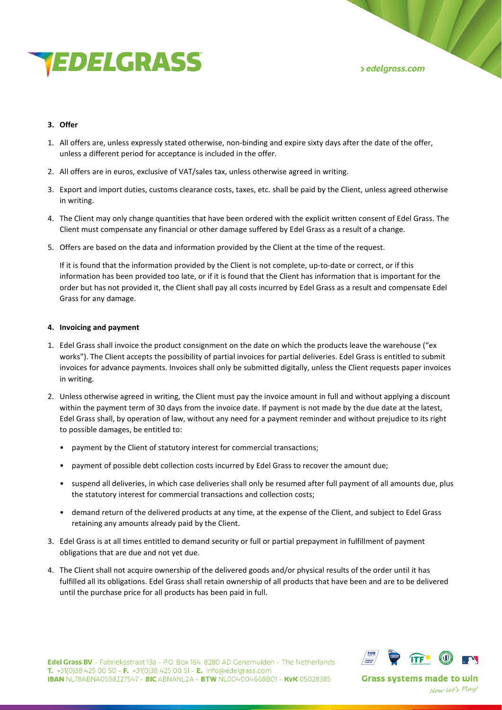

# **3. Offer**

- 1. All offers are, unless expressly stated otherwise, non-binding and expire sixty days after the date of the offer, unless a different period for acceptance is included in the offer.
- 2. All offers are in euros, exclusive of VAT/sales tax, unless otherwise agreed in writing.
- 3. Export and import duties, customs clearance costs, taxes, etc. shall be paid by the Client, unless agreed otherwise in writing.
- 4. The Client may only change quantities that have been ordered with the explicit written consent of Edel Grass. The Client must compensate any financial or other damage suffered by Edel Grass as a result of a change.
- 5. Offers are based on the data and information provided by the Client at the time of the request.

If it is found that the information provided by the Client is not complete, up-to-date or correct, or if this information has been provided too late, or if it is found that the Client has information that is important for the order but has not provided it, the Client shall pay all costs incurred by Edel Grass as a result and compensate Edel Grass for any damage.

# **4. Invoicing and payment**

- 1. Edel Grass shall invoice the product consignment on the date on which the products leave the warehouse ("ex works"). The Client accepts the possibility of partial invoices for partial deliveries. Edel Grass is entitled to submit invoices for advance payments. Invoices shall only be submitted digitally, unless the Client requests paper invoices in writing.
- 2. Unless otherwise agreed in writing, the Client must pay the invoice amount in full and without applying a discount within the payment term of 30 days from the invoice date. If payment is not made by the due date at the latest, Edel Grass shall, by operation of law, without any need for a payment reminder and without prejudice to its right to possible damages, be entitled to:
	- payment by the Client of statutory interest for commercial transactions;
	- payment of possible debt collection costs incurred by Edel Grass to recover the amount due;
	- suspend all deliveries, in which case deliveries shall only be resumed after full payment of all amounts due, plus the statutory interest for commercial transactions and collection costs;
	- demand return of the delivered products at any time, at the expense of the Client, and subject to Edel Grass retaining any amounts already paid by the Client.
- 3. Edel Grass is at all times entitled to demand security or full or partial prepayment in fulfillment of payment obligations that are due and not yet due.
- 4. The Client shall not acquire ownership of the delivered goods and/or physical results of the order until it has fulfilled all its obligations. Edel Grass shall retain ownership of all products that have been and are to be delivered until the purchase price for all products has been paid in full.

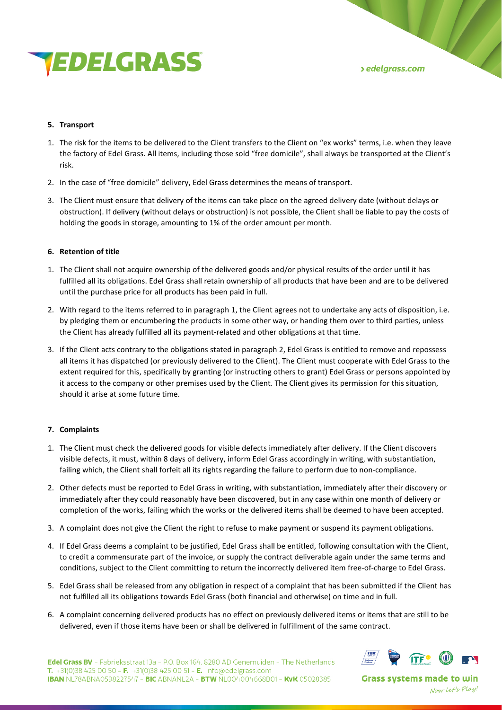

## **5. Transport**

- 1. The risk for the items to be delivered to the Client transfers to the Client on "ex works" terms, i.e. when they leave the factory of Edel Grass. All items, including those sold "free domicile", shall always be transported at the Client's risk.
- 2. In the case of "free domicile" delivery, Edel Grass determines the means of transport.
- 3. The Client must ensure that delivery of the items can take place on the agreed delivery date (without delays or obstruction). If delivery (without delays or obstruction) is not possible, the Client shall be liable to pay the costs of holding the goods in storage, amounting to 1% of the order amount per month.

## **6. Retention of title**

- 1. The Client shall not acquire ownership of the delivered goods and/or physical results of the order until it has fulfilled all its obligations. Edel Grass shall retain ownership of all products that have been and are to be delivered until the purchase price for all products has been paid in full.
- 2. With regard to the items referred to in paragraph 1, the Client agrees not to undertake any acts of disposition, i.e. by pledging them or encumbering the products in some other way, or handing them over to third parties, unless the Client has already fulfilled all its payment-related and other obligations at that time.
- 3. If the Client acts contrary to the obligations stated in paragraph 2, Edel Grass is entitled to remove and repossess all items it has dispatched (or previously delivered to the Client). The Client must cooperate with Edel Grass to the extent required for this, specifically by granting (or instructing others to grant) Edel Grass or persons appointed by it access to the company or other premises used by the Client. The Client gives its permission for this situation, should it arise at some future time.

# **7. Complaints**

- 1. The Client must check the delivered goods for visible defects immediately after delivery. If the Client discovers visible defects, it must, within 8 days of delivery, inform Edel Grass accordingly in writing, with substantiation, failing which, the Client shall forfeit all its rights regarding the failure to perform due to non-compliance.
- 2. Other defects must be reported to Edel Grass in writing, with substantiation, immediately after their discovery or immediately after they could reasonably have been discovered, but in any case within one month of delivery or completion of the works, failing which the works or the delivered items shall be deemed to have been accepted.
- 3. A complaint does not give the Client the right to refuse to make payment or suspend its payment obligations.
- 4. If Edel Grass deems a complaint to be justified, Edel Grass shall be entitled, following consultation with the Client, to credit a commensurate part of the invoice, or supply the contract deliverable again under the same terms and conditions, subject to the Client committing to return the incorrectly delivered item free-of-charge to Edel Grass.
- 5. Edel Grass shall be released from any obligation in respect of a complaint that has been submitted if the Client has not fulfilled all its obligations towards Edel Grass (both financial and otherwise) on time and in full.
- 6. A complaint concerning delivered products has no effect on previously delivered items or items that are still to be delivered, even if those items have been or shall be delivered in fulfillment of the same contract.

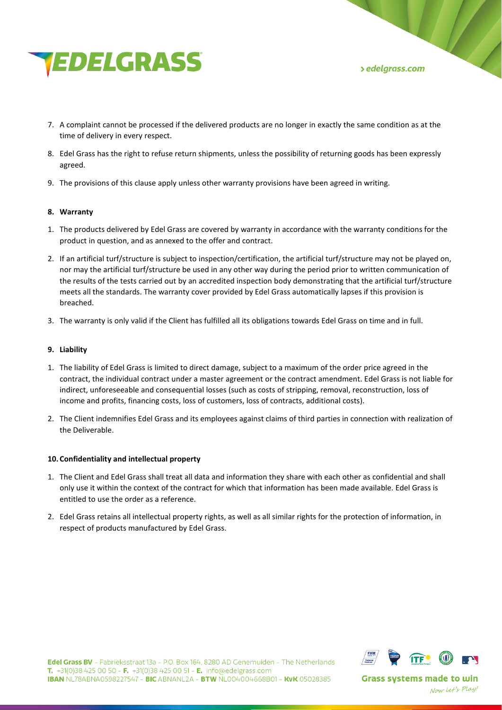

- 7. A complaint cannot be processed if the delivered products are no longer in exactly the same condition as at the time of delivery in every respect.
- 8. Edel Grass has the right to refuse return shipments, unless the possibility of returning goods has been expressly agreed.
- 9. The provisions of this clause apply unless other warranty provisions have been agreed in writing.

## **8. Warranty**

- 1. The products delivered by Edel Grass are covered by warranty in accordance with the warranty conditions for the product in question, and as annexed to the offer and contract.
- 2. If an artificial turf/structure is subject to inspection/certification, the artificial turf/structure may not be played on, nor may the artificial turf/structure be used in any other way during the period prior to written communication of the results of the tests carried out by an accredited inspection body demonstrating that the artificial turf/structure meets all the standards. The warranty cover provided by Edel Grass automatically lapses if this provision is breached.
- 3. The warranty is only valid if the Client has fulfilled all its obligations towards Edel Grass on time and in full.

#### **9. Liability**

- 1. The liability of Edel Grass is limited to direct damage, subject to a maximum of the order price agreed in the contract, the individual contract under a master agreement or the contract amendment. Edel Grass is not liable for indirect, unforeseeable and consequential losses (such as costs of stripping, removal, reconstruction, loss of income and profits, financing costs, loss of customers, loss of contracts, additional costs).
- 2. The Client indemnifies Edel Grass and its employees against claims of third parties in connection with realization of the Deliverable.

#### **10. Confidentiality and intellectual property**

- 1. The Client and Edel Grass shall treat all data and information they share with each other as confidential and shall only use it within the context of the contract for which that information has been made available. Edel Grass is entitled to use the order as a reference.
- 2. Edel Grass retains all intellectual property rights, as well as all similar rights for the protection of information, in respect of products manufactured by Edel Grass.



Edel Grass BV - Fabrieksstraat 13a - P.O. Box 164, 8280 AD Genemuiden - The Netherlands T. +31(0)38 425 00 50 - F. +31(0)38 425 00 51 - E. info@edelgrass.com **IBAN NL78ABNA0598227547 - BIC ABNANL2A - BTW NL004004668B01 - KVK 05028385**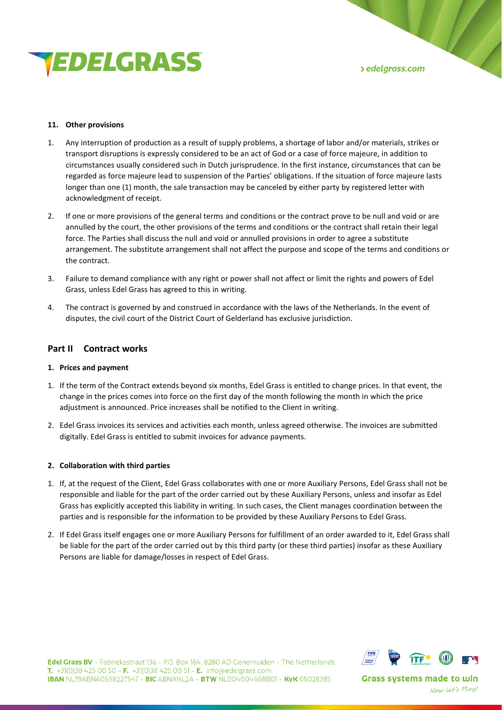

## **11. Other provisions**

- 1. Any interruption of production as a result of supply problems, a shortage of labor and/or materials, strikes or transport disruptions is expressly considered to be an act of God or a case of force majeure, in addition to circumstances usually considered such in Dutch jurisprudence. In the first instance, circumstances that can be regarded as force majeure lead to suspension of the Parties' obligations. If the situation of force majeure lasts longer than one (1) month, the sale transaction may be canceled by either party by registered letter with acknowledgment of receipt.
- 2. If one or more provisions of the general terms and conditions or the contract prove to be null and void or are annulled by the court, the other provisions of the terms and conditions or the contract shall retain their legal force. The Parties shall discuss the null and void or annulled provisions in order to agree a substitute arrangement. The substitute arrangement shall not affect the purpose and scope of the terms and conditions or the contract.
- 3. Failure to demand compliance with any right or power shall not affect or limit the rights and powers of Edel Grass, unless Edel Grass has agreed to this in writing.
- 4. The contract is governed by and construed in accordance with the laws of the Netherlands. In the event of disputes, the civil court of the District Court of Gelderland has exclusive jurisdiction.

# **Part II Contract works**

# **1. Prices and payment**

- 1. If the term of the Contract extends beyond six months, Edel Grass is entitled to change prices. In that event, the change in the prices comes into force on the first day of the month following the month in which the price adjustment is announced. Price increases shall be notified to the Client in writing.
- 2. Edel Grass invoices its services and activities each month, unless agreed otherwise. The invoices are submitted digitally. Edel Grass is entitled to submit invoices for advance payments.

# **2. Collaboration with third parties**

- 1. If, at the request of the Client, Edel Grass collaborates with one or more Auxiliary Persons, Edel Grass shall not be responsible and liable for the part of the order carried out by these Auxiliary Persons, unless and insofar as Edel Grass has explicitly accepted this liability in writing. In such cases, the Client manages coordination between the parties and is responsible for the information to be provided by these Auxiliary Persons to Edel Grass.
- 2. If Edel Grass itself engages one or more Auxiliary Persons for fulfillment of an order awarded to it, Edel Grass shall be liable for the part of the order carried out by this third party (or these third parties) insofar as these Auxiliary Persons are liable for damage/losses in respect of Edel Grass.



Edel Grass BV - Fabrieksstraat 13a - P.O. Box 164, 8280 AD Genemuiden - The Netherlands T. +31(0)38 425 00 50 - F. +31(0)38 425 00 51 - E. info@edelgrass.com **IBAN NL78ABNA0598227547 - BIC ABNANL2A - BTW NL004004668B01 - KVK 05028385**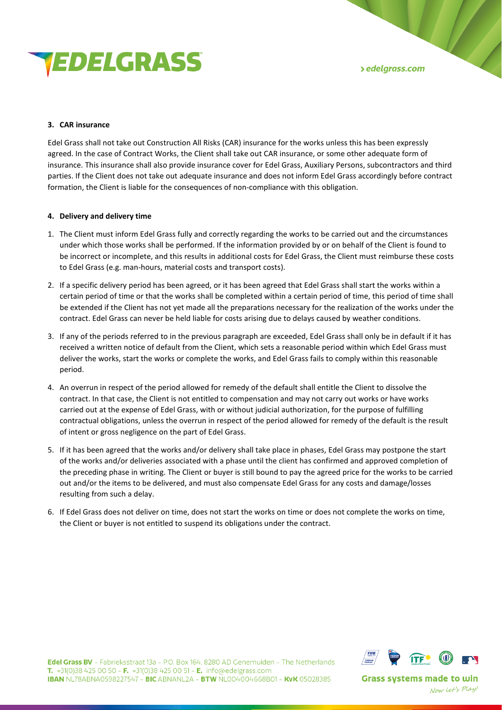

## **3. CAR insurance**

Edel Grass shall not take out Construction All Risks (CAR) insurance for the works unless this has been expressly agreed. In the case of Contract Works, the Client shall take out CAR insurance, or some other adequate form of insurance. This insurance shall also provide insurance cover for Edel Grass, Auxiliary Persons, subcontractors and third parties. If the Client does not take out adequate insurance and does not inform Edel Grass accordingly before contract formation, the Client is liable for the consequences of non-compliance with this obligation.

## **4. Delivery and delivery time**

- 1. The Client must inform Edel Grass fully and correctly regarding the works to be carried out and the circumstances under which those works shall be performed. If the information provided by or on behalf of the Client is found to be incorrect or incomplete, and this results in additional costs for Edel Grass, the Client must reimburse these costs to Edel Grass (e.g. man-hours, material costs and transport costs).
- 2. If a specific delivery period has been agreed, or it has been agreed that Edel Grass shall start the works within a certain period of time or that the works shall be completed within a certain period of time, this period of time shall be extended if the Client has not yet made all the preparations necessary for the realization of the works under the contract. Edel Grass can never be held liable for costs arising due to delays caused by weather conditions.
- 3. If any of the periods referred to in the previous paragraph are exceeded, Edel Grass shall only be in default if it has received a written notice of default from the Client, which sets a reasonable period within which Edel Grass must deliver the works, start the works or complete the works, and Edel Grass fails to comply within this reasonable period.
- 4. An overrun in respect of the period allowed for remedy of the default shall entitle the Client to dissolve the contract. In that case, the Client is not entitled to compensation and may not carry out works or have works carried out at the expense of Edel Grass, with or without judicial authorization, for the purpose of fulfilling contractual obligations, unless the overrun in respect of the period allowed for remedy of the default is the result of intent or gross negligence on the part of Edel Grass.
- 5. If it has been agreed that the works and/or delivery shall take place in phases, Edel Grass may postpone the start of the works and/or deliveries associated with a phase until the client has confirmed and approved completion of the preceding phase in writing. The Client or buyer is still bound to pay the agreed price for the works to be carried out and/or the items to be delivered, and must also compensate Edel Grass for any costs and damage/losses resulting from such a delay.
- 6. If Edel Grass does not deliver on time, does not start the works on time or does not complete the works on time, the Client or buyer is not entitled to suspend its obligations under the contract.



Edel Grass BV - Fabrieksstraat 13a - P.O. Box 164, 8280 AD Genemuiden - The Netherlands T. +31(0)38 425 00 50 - F. +31(0)38 425 00 51 - E. info@edelgrass.com **IBAN NL78ABNA0598227547 - BIC ABNANL2A - BTW NL004004668B01 - KVK 05028385**